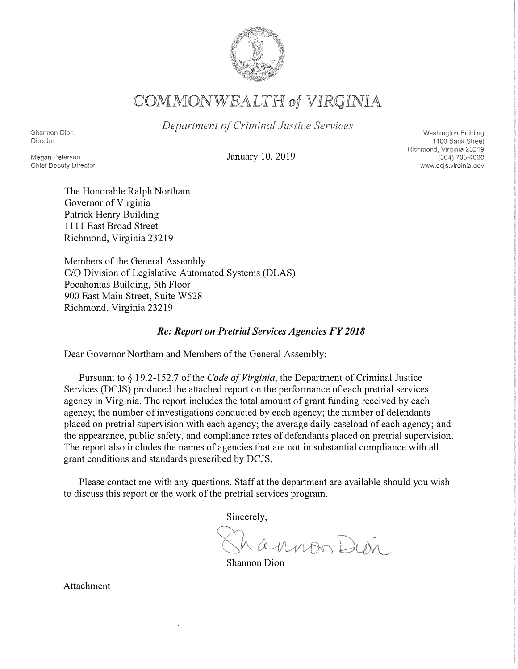

COMMONWEALTH of VIRGINIA

Department of Criminal Justice Services

Shannon Dion Director

Megan Peterson

Chief Deputy Director

January 10, 2019

Washington Building 1100 Bank Street Richmond, Virginia 23219 (804) 786-4000 www.dcjs.virginia.gov

The Honorable Ralph Northam Governor of Virginia Patrick Henry Building 1111 East Broad Street Richmond, Virginia 23219

Members of the General Assembly C/0 Division of Legislative Automated Systems (DLAS) Pocahontas Building, 5th Floor 900 East Main Street, Suite W528 Richmond, Virginia 23219

#### *Re: Report on Pretrial Services Agencies FY 2018*

Dear Governor Northam and Members of the General Assembly:

Pursuant to § 19 .2-152. 7 of the *Code of Virginia,* the Department of Criminal Justice Services (DCJS) produced the attached report on the performance of each pretrial services agency in Virginia. The report includes the total amount of grant funding received by each agency; the number of investigations conducted by each agency; the number of defendants placed on pretrial supervision with each agency; the average daily caseload of each agency; and the appearance, public safety, and compliance rates of defendants placed on pretrial supervision. The report also includes the names of agencies that are not in substantial compliance with all grant conditions and standards prescribed by DCJS.

Please contact me with any questions. Staff at the department are available should you wish to discuss this report or the work of the pretrial services program.

Sincerely,

hannon Dien

Shannon Dion

Attachment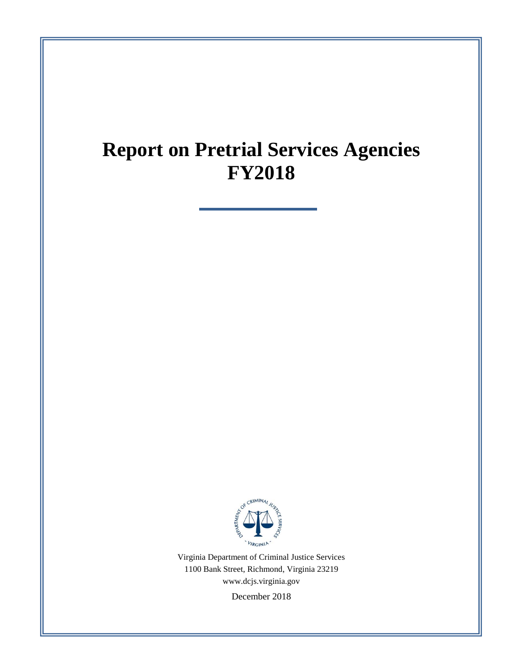# **Report on Pretrial Services Agencies FY2018**



Virginia Department of Criminal Justice Services 1100 Bank Street, Richmond, Virginia 23219 [www.dcjs.virginia.gov](https://www.dcjs.virginia.gov/)

December 2018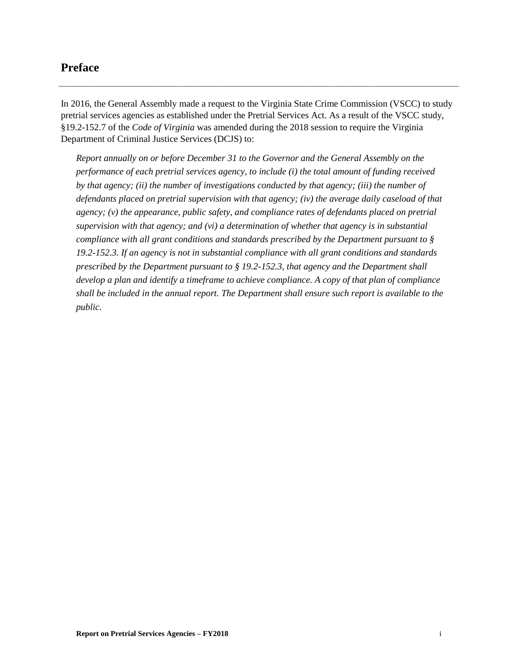#### <span id="page-2-0"></span>**Preface**

In 2016, the General Assembly made a request to the Virginia State Crime Commission (VSCC) to study pretrial services agencies as established under the Pretrial Services Act. As a result of the VSCC study, §19.2-152.7 of the *Code of Virginia* was amended during the 2018 session to require the Virginia Department of Criminal Justice Services (DCJS) to:

\_\_\_\_\_\_\_\_\_\_\_\_\_\_\_\_\_\_\_\_\_\_\_\_\_\_\_\_\_\_\_\_\_\_\_\_\_\_\_\_\_\_\_\_\_\_\_\_\_\_\_\_\_\_\_\_\_\_\_\_\_\_\_\_\_\_\_\_\_\_\_\_\_\_\_\_\_\_\_\_\_\_\_\_\_\_\_\_\_\_\_\_\_\_\_\_\_\_\_\_\_\_\_\_\_\_\_\_\_\_\_\_\_\_\_\_

*Report annually on or before December 31 to the Governor and the General Assembly on the performance of each pretrial services agency, to include (i) the total amount of funding received by that agency; (ii) the number of investigations conducted by that agency; (iii) the number of defendants placed on pretrial supervision with that agency; (iv) the average daily caseload of that agency; (v) the appearance, public safety, and compliance rates of defendants placed on pretrial supervision with that agency; and (vi) a determination of whether that agency is in substantial compliance with all grant conditions and standards prescribed by the Department pursuant to § 19.2-152.3. If an agency is not in substantial compliance with all grant conditions and standards prescribed by the Department pursuant to § 19.2-152.3, that agency and the Department shall develop a plan and identify a timeframe to achieve compliance. A copy of that plan of compliance shall be included in the annual report. The Department shall ensure such report is available to the public.*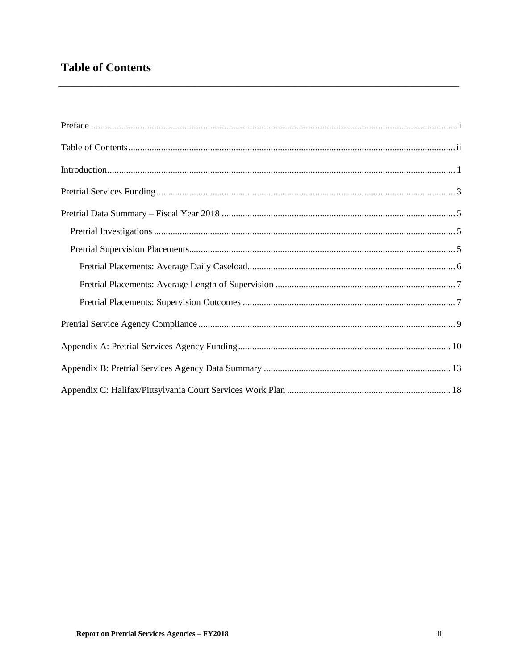### <span id="page-3-0"></span>**Table of Contents**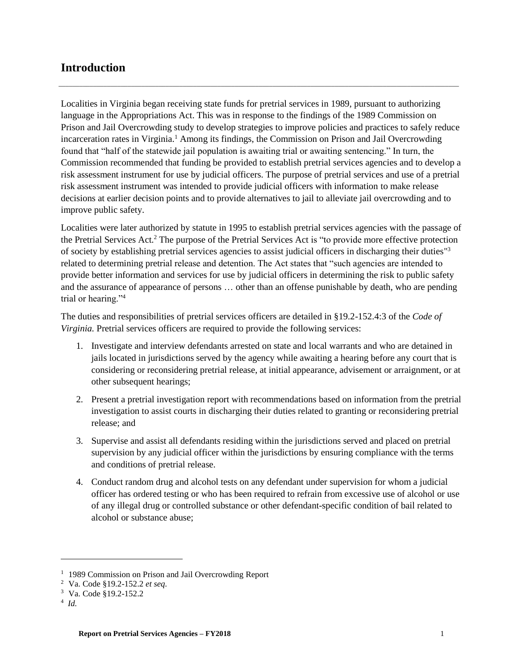#### <span id="page-4-0"></span>**Introduction**

Localities in Virginia began receiving state funds for pretrial services in 1989, pursuant to authorizing language in the Appropriations Act. This was in response to the findings of the 1989 Commission on Prison and Jail Overcrowding study to develop strategies to improve policies and practices to safely reduce incarceration rates in Virginia.<sup>1</sup> Among its findings, the Commission on Prison and Jail Overcrowding found that "half of the statewide jail population is awaiting trial or awaiting sentencing." In turn, the Commission recommended that funding be provided to establish pretrial services agencies and to develop a risk assessment instrument for use by judicial officers. The purpose of pretrial services and use of a pretrial risk assessment instrument was intended to provide judicial officers with information to make release decisions at earlier decision points and to provide alternatives to jail to alleviate jail overcrowding and to improve public safety.

\_\_\_\_\_\_\_\_\_\_\_\_\_\_\_\_\_\_\_\_\_\_\_\_\_\_\_\_\_\_\_\_\_\_\_\_\_\_\_\_\_\_\_\_\_\_\_\_\_\_\_\_\_\_\_\_\_\_\_\_\_\_\_\_\_\_\_\_\_\_\_\_\_\_\_\_\_\_\_\_\_\_\_\_\_\_\_\_\_\_\_\_\_\_\_\_\_\_\_\_\_\_\_\_\_\_\_\_\_\_\_\_\_\_\_\_

Localities were later authorized by statute in 1995 to establish pretrial services agencies with the passage of the Pretrial Services Act.<sup>2</sup> The purpose of the Pretrial Services Act is "to provide more effective protection of society by establishing pretrial services agencies to assist judicial officers in discharging their duties"<sup>3</sup> related to determining pretrial release and detention. The Act states that "such agencies are intended to provide better information and services for use by judicial officers in determining the risk to public safety and the assurance of appearance of persons … other than an offense punishable by death, who are pending trial or hearing."<sup>4</sup>

The duties and responsibilities of pretrial services officers are detailed in §19.2-152.4:3 of the *Code of Virginia.* Pretrial services officers are required to provide the following services:

- 1. Investigate and interview defendants arrested on state and local warrants and who are detained in jails located in jurisdictions served by the agency while awaiting a hearing before any court that is considering or reconsidering pretrial release, at initial appearance, advisement or arraignment, or at other subsequent hearings;
- 2. Present a pretrial investigation report with recommendations based on information from the pretrial investigation to assist courts in discharging their duties related to granting or reconsidering pretrial release; and
- 3. Supervise and assist all defendants residing within the jurisdictions served and placed on pretrial supervision by any judicial officer within the jurisdictions by ensuring compliance with the terms and conditions of pretrial release.
- 4. Conduct random drug and alcohol tests on any defendant under supervision for whom a judicial officer has ordered testing or who has been required to refrain from excessive use of alcohol or use of any illegal drug or controlled substance or other defendant-specific condition of bail related to alcohol or substance abuse;

4 *Id.*

<sup>&</sup>lt;sup>1</sup> 1989 Commission on Prison and Jail Overcrowding Report

<sup>2</sup> Va. Code §19.2-152.2 *et seq.*

<sup>3</sup> Va. Code §19.2-152.2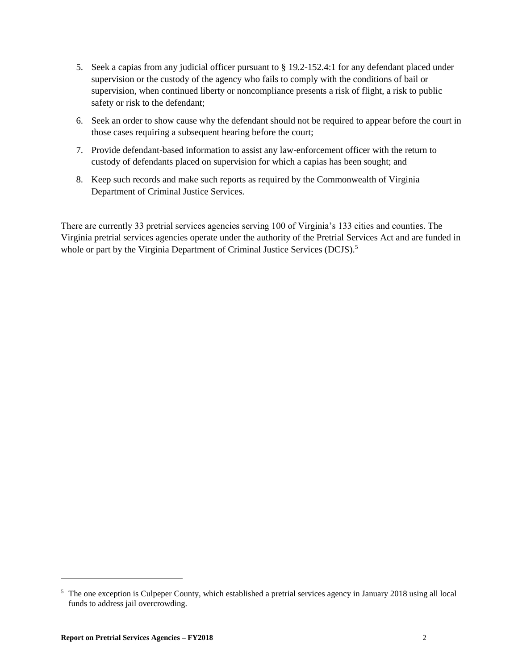- 5. Seek a capias from any judicial officer pursuant to [§ 19.2-152.4:1](http://law.lis.virginia.gov/vacode/19.2-152.4:1/) for any defendant placed under supervision or the custody of the agency who fails to comply with the conditions of bail or supervision, when continued liberty or noncompliance presents a risk of flight, a risk to public safety or risk to the defendant;
- 6. Seek an order to show cause why the defendant should not be required to appear before the court in those cases requiring a subsequent hearing before the court;
- 7. Provide defendant-based information to assist any law-enforcement officer with the return to custody of defendants placed on supervision for which a capias has been sought; and
- 8. Keep such records and make such reports as required by the Commonwealth of Virginia Department of Criminal Justice Services.

There are currently 33 pretrial services agencies serving 100 of Virginia's 133 cities and counties. The Virginia pretrial services agencies operate under the authority of the Pretrial Services Act and are funded in whole or part by the Virginia Department of Criminal Justice Services (DCJS).<sup>5</sup>

<sup>5</sup> The one exception is Culpeper County, which established a pretrial services agency in January 2018 using all local funds to address jail overcrowding.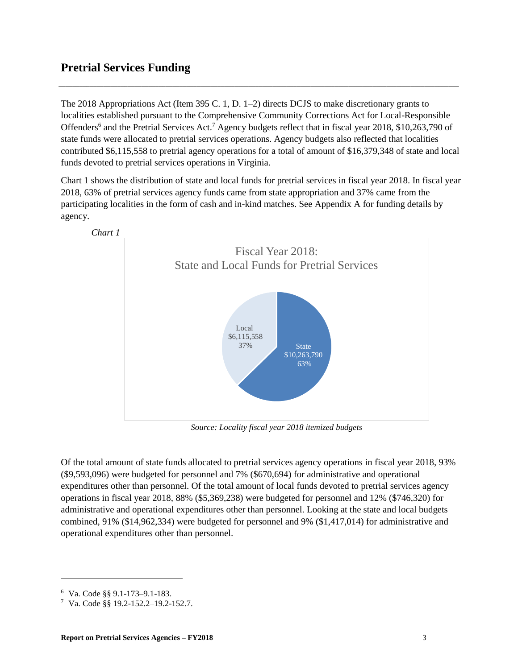#### <span id="page-6-0"></span>**Pretrial Services Funding**

The 2018 Appropriations Act (Item 395 C. 1, D. 1–2) directs DCJS to make discretionary grants to localities established pursuant to the Comprehensive Community Corrections Act for Local-Responsible Offenders<sup>6</sup> and the Pretrial Services Act.<sup>7</sup> Agency budgets reflect that in fiscal year 2018, \$10,263,790 of state funds were allocated to pretrial services operations. Agency budgets also reflected that localities contributed \$6,115,558 to pretrial agency operations for a total of amount of \$16,379,348 of state and local funds devoted to pretrial services operations in Virginia.

\_\_\_\_\_\_\_\_\_\_\_\_\_\_\_\_\_\_\_\_\_\_\_\_\_\_\_\_\_\_\_\_\_\_\_\_\_\_\_\_\_\_\_\_\_\_\_\_\_\_\_\_\_\_\_\_\_\_\_\_\_\_\_\_\_\_\_\_\_\_\_\_\_\_\_\_\_\_\_\_\_\_\_\_\_\_\_\_\_\_\_\_\_\_\_\_\_\_\_\_\_\_\_\_\_\_\_\_\_\_\_\_\_\_\_\_

Chart 1 shows the distribution of state and local funds for pretrial services in fiscal year 2018. In fiscal year 2018, 63% of pretrial services agency funds came from state appropriation and 37% came from the participating localities in the form of cash and in-kind matches. See Appendix A for funding details by agency.



*Source: Locality fiscal year 2018 itemized budgets*

Of the total amount of state funds allocated to pretrial services agency operations in fiscal year 2018, 93% (\$9,593,096) were budgeted for personnel and 7% (\$670,694) for administrative and operational expenditures other than personnel. Of the total amount of local funds devoted to pretrial services agency operations in fiscal year 2018, 88% (\$5,369,238) were budgeted for personnel and 12% (\$746,320) for administrative and operational expenditures other than personnel. Looking at the state and local budgets combined, 91% (\$14,962,334) were budgeted for personnel and 9% (\$1,417,014) for administrative and operational expenditures other than personnel.

<sup>6</sup> Va. Code §§ 9.1-173–9.1-183.

<sup>7</sup> Va. Code §§ 19.2-152.2–19.2-152.7.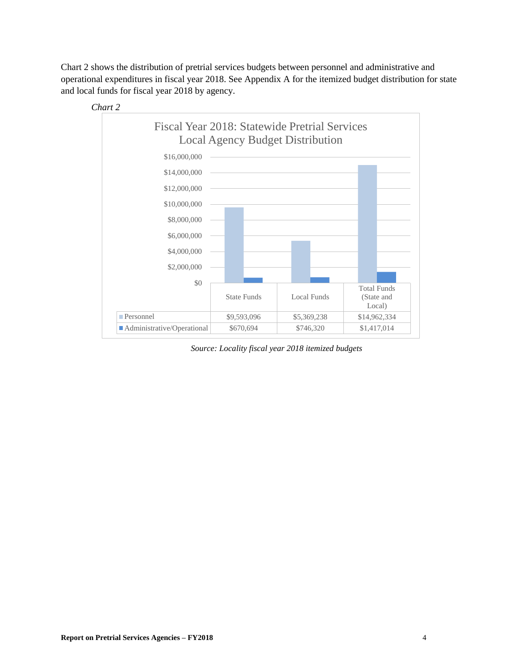Chart 2 shows the distribution of pretrial services budgets between personnel and administrative and operational expenditures in fiscal year 2018. See Appendix A for the itemized budget distribution for state and local funds for fiscal year 2018 by agency.



*Source: Locality fiscal year 2018 itemized budgets*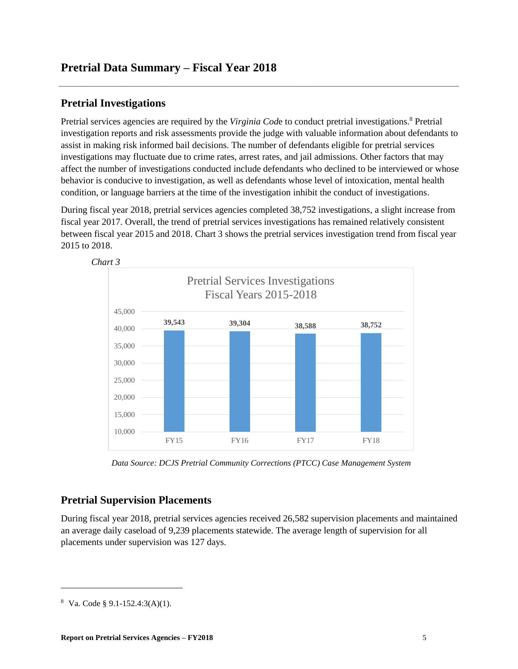#### <span id="page-8-1"></span>**Pretrial Investigations**

Pretrial services agencies are required by the *Virginia Code* to conduct pretrial investigations.<sup>8</sup> Pretrial investigation reports and risk assessments provide the judge with valuable information about defendants to assist in making risk informed bail decisions. The number of defendants eligible for pretrial services investigations may fluctuate due to crime rates, arrest rates, and jail admissions. Other factors that may affect the number of investigations conducted include defendants who declined to be interviewed or whose behavior is conducive to investigation, as well as defendants whose level of intoxication, mental health condition, or language barriers at the time of the investigation inhibit the conduct of investigations.

<span id="page-8-0"></span>\_\_\_\_\_\_\_\_\_\_\_\_\_\_\_\_\_\_\_\_\_\_\_\_\_\_\_\_\_\_\_\_\_\_\_\_\_\_\_\_\_\_\_\_\_\_\_\_\_\_\_\_\_\_\_\_\_\_\_\_\_\_\_\_\_\_\_\_\_\_\_\_\_\_\_\_\_\_\_\_\_\_\_\_\_\_\_\_\_\_\_\_\_\_\_\_\_\_\_\_\_\_\_\_\_\_\_\_\_\_\_\_\_\_\_\_

During fiscal year 2018, pretrial services agencies completed 38,752 investigations, a slight increase from fiscal year 2017. Overall, the trend of pretrial services investigations has remained relatively consistent between fiscal year 2015 and 2018. Chart 3 shows the pretrial services investigation trend from fiscal year 2015 to 2018.



*Data Source: DCJS Pretrial Community Corrections (PTCC) Case Management System*

#### <span id="page-8-2"></span>**Pretrial Supervision Placements**

During fiscal year 2018, pretrial services agencies received 26,582 supervision placements and maintained an average daily caseload of 9,239 placements statewide. The average length of supervision for all placements under supervision was 127 days.

<sup>8</sup> Va. Code § 9.1-152.4:3(A)(1).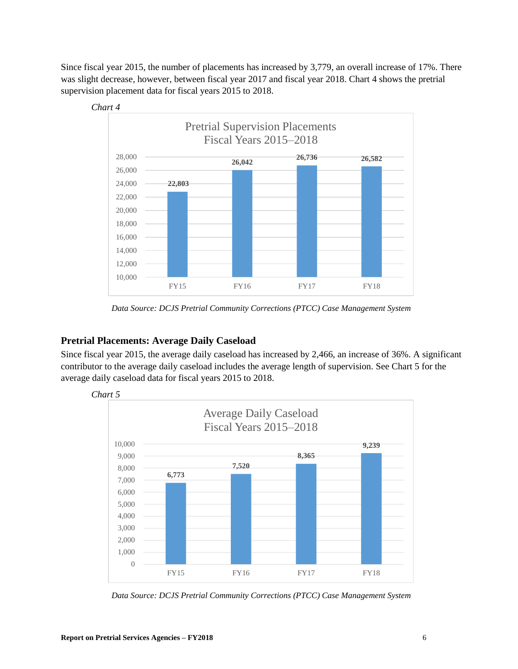Since fiscal year 2015, the number of placements has increased by 3,779, an overall increase of 17%. There was slight decrease, however, between fiscal year 2017 and fiscal year 2018. Chart 4 shows the pretrial supervision placement data for fiscal years 2015 to 2018.



*Data Source: DCJS Pretrial Community Corrections (PTCC) Case Management System*

#### <span id="page-9-0"></span>**Pretrial Placements: Average Daily Caseload**

Since fiscal year 2015, the average daily caseload has increased by 2,466, an increase of 36%. A significant contributor to the average daily caseload includes the average length of supervision. See Chart 5 for the average daily caseload data for fiscal years 2015 to 2018.



*Data Source: DCJS Pretrial Community Corrections (PTCC) Case Management System*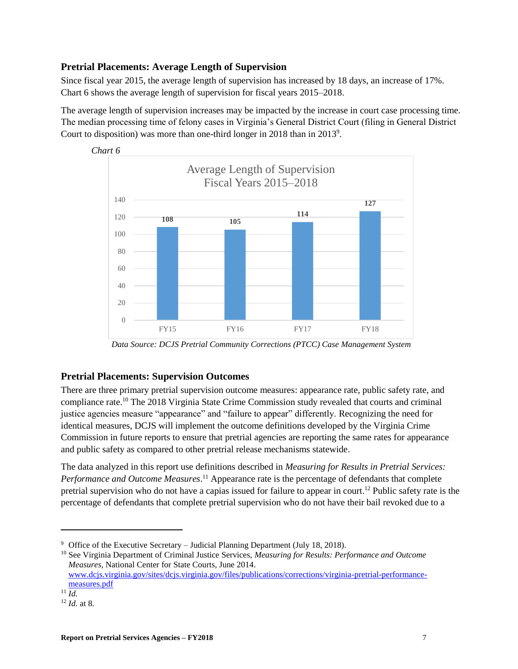#### <span id="page-10-0"></span>**Pretrial Placements: Average Length of Supervision**

Since fiscal year 2015, the average length of supervision has increased by 18 days, an increase of 17%. Chart 6 shows the average length of supervision for fiscal years 2015–2018.

The average length of supervision increases may be impacted by the increase in court case processing time. The median processing time of felony cases in Virginia's General District Court (filing in General District Court to disposition) was more than one-third longer in 2018 than in 2013<sup>9</sup>.



*Data Source: DCJS Pretrial Community Corrections (PTCC) Case Management System*

#### <span id="page-10-1"></span>**Pretrial Placements: Supervision Outcomes**

There are three primary pretrial supervision outcome measures: appearance rate, public safety rate, and compliance rate.<sup>10</sup> The 2018 Virginia State Crime Commission study revealed that courts and criminal justice agencies measure "appearance" and "failure to appear" differently. Recognizing the need for identical measures, DCJS will implement the outcome definitions developed by the Virginia Crime Commission in future reports to ensure that pretrial agencies are reporting the same rates for appearance and public safety as compared to other pretrial release mechanisms statewide.

The data analyzed in this report use definitions described in *Measuring for Results in Pretrial Services: Performance and Outcome Measures*. <sup>11</sup> Appearance rate is the percentage of defendants that complete pretrial supervision who do not have a capias issued for failure to appear in court. <sup>12</sup> Public safety rate is the percentage of defendants that complete pretrial supervision who do not have their bail revoked due to a

<sup>10</sup> See Virginia Department of Criminal Justice Services, *Measuring for Results: Performance and Outcome Measures*, National Center for State Courts, June 2014. [www.dcjs.virginia.gov/sites/dcjs.virginia.gov/files/publications/corrections/virginia-pretrial-performance](https://www.dcjs.virginia.gov/sites/dcjs.virginia.gov/files/publications/corrections/virginia-pretrial-performance-measures.pdf)[measures.pdf](https://www.dcjs.virginia.gov/sites/dcjs.virginia.gov/files/publications/corrections/virginia-pretrial-performance-measures.pdf)

<sup>9</sup> Office of the Executive Secretary – Judicial Planning Department (July 18, 2018).

 $^{11}$ *Id.* 

<sup>12</sup> *Id.* at 8.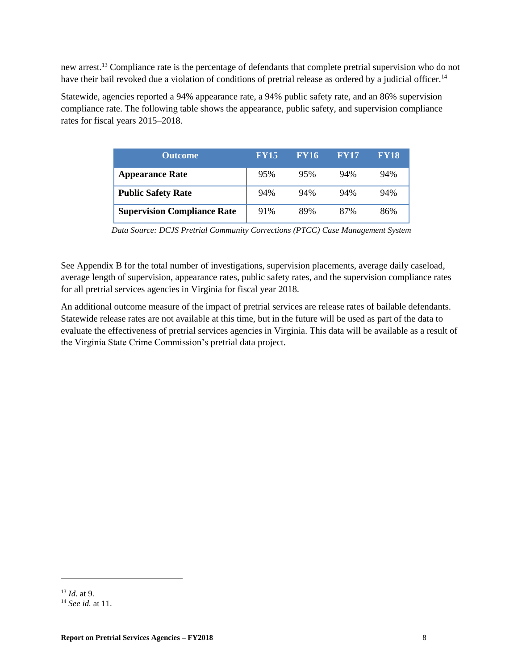new arrest.<sup>13</sup> Compliance rate is the percentage of defendants that complete pretrial supervision who do not have their bail revoked due a violation of conditions of pretrial release as ordered by a judicial officer.<sup>14</sup>

Statewide, agencies reported a 94% appearance rate, a 94% public safety rate, and an 86% supervision compliance rate. The following table shows the appearance, public safety, and supervision compliance rates for fiscal years 2015–2018.

| <b>Outcome</b>                     | <b>FY15</b> | <b>FY16</b> | <b>FY17</b> | <b>FY18</b> |
|------------------------------------|-------------|-------------|-------------|-------------|
| <b>Appearance Rate</b>             | 95%         | 95%         | 94%         | 94%         |
| <b>Public Safety Rate</b>          | 94%         | 94%         | 94%         | 94%         |
| <b>Supervision Compliance Rate</b> | 91%         | 89%         | 87%         | 86%         |

*Data Source: DCJS Pretrial Community Corrections (PTCC) Case Management System*

See Appendix B for the total number of investigations, supervision placements, average daily caseload, average length of supervision, appearance rates, public safety rates, and the supervision compliance rates for all pretrial services agencies in Virginia for fiscal year 2018.

An additional outcome measure of the impact of pretrial services are release rates of bailable defendants. Statewide release rates are not available at this time, but in the future will be used as part of the data to evaluate the effectiveness of pretrial services agencies in Virginia. This data will be available as a result of the Virginia State Crime Commission's pretrial data project.

<sup>13</sup> *Id.* at 9.

<sup>14</sup> *See id.* at 11.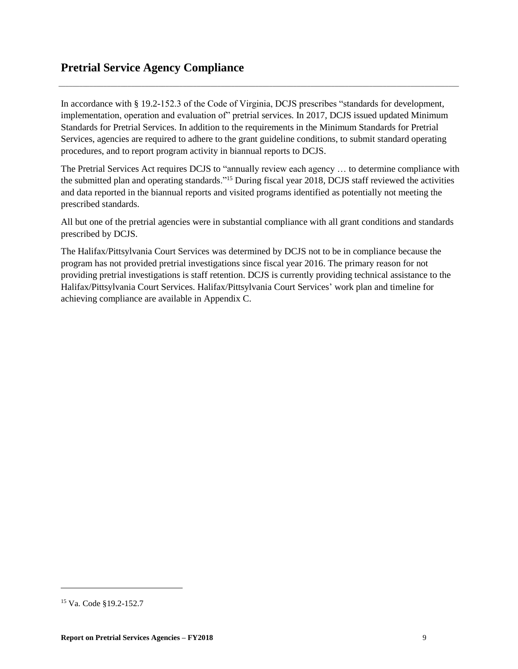In accordance with § 19.2-152.3 of the Code of Virginia, DCJS prescribes "standards for development, implementation, operation and evaluation of" pretrial services. In 2017, DCJS issued updated Minimum Standards for Pretrial Services. In addition to the requirements in the Minimum Standards for Pretrial Services, agencies are required to adhere to the grant guideline conditions, to submit standard operating procedures, and to report program activity in biannual reports to DCJS.

<span id="page-12-0"></span>\_\_\_\_\_\_\_\_\_\_\_\_\_\_\_\_\_\_\_\_\_\_\_\_\_\_\_\_\_\_\_\_\_\_\_\_\_\_\_\_\_\_\_\_\_\_\_\_\_\_\_\_\_\_\_\_\_\_\_\_\_\_\_\_\_\_\_\_\_\_\_\_\_\_\_\_\_\_\_\_\_\_\_\_\_\_\_\_\_\_\_\_\_\_\_\_\_\_\_\_\_\_\_\_\_\_\_\_\_\_\_\_\_\_\_\_

The Pretrial Services Act requires DCJS to "annually review each agency … to determine compliance with the submitted plan and operating standards."<sup>15</sup> During fiscal year 2018, DCJS staff reviewed the activities and data reported in the biannual reports and visited programs identified as potentially not meeting the prescribed standards.

All but one of the pretrial agencies were in substantial compliance with all grant conditions and standards prescribed by DCJS.

The Halifax/Pittsylvania Court Services was determined by DCJS not to be in compliance because the program has not provided pretrial investigations since fiscal year 2016. The primary reason for not providing pretrial investigations is staff retention. DCJS is currently providing technical assistance to the Halifax/Pittsylvania Court Services. Halifax/Pittsylvania Court Services' work plan and timeline for achieving compliance are available in Appendix C.

<sup>15</sup> Va. Code §19.2-152.7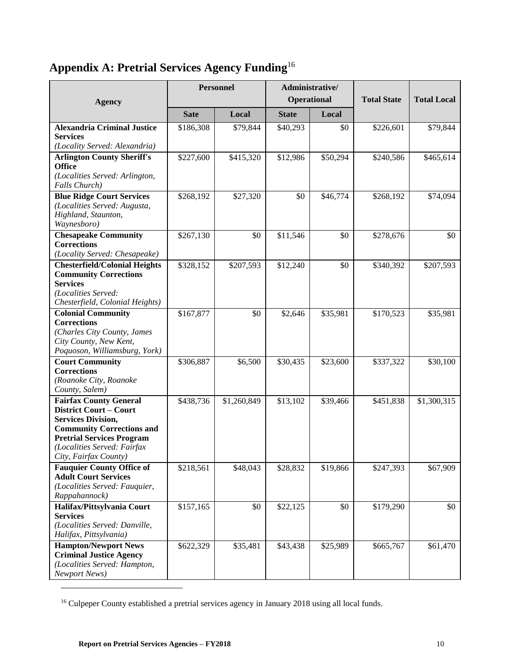## <span id="page-13-0"></span>**Appendix A: Pretrial Services Agency Funding**<sup>16</sup>

| <b>Agency</b>                                                                                                                                                                                                               | Administrative/<br><b>Personnel</b><br>Operational |             |              | <b>Total State</b> | <b>Total Local</b> |             |
|-----------------------------------------------------------------------------------------------------------------------------------------------------------------------------------------------------------------------------|----------------------------------------------------|-------------|--------------|--------------------|--------------------|-------------|
|                                                                                                                                                                                                                             | <b>Sate</b>                                        | Local       | <b>State</b> | Local              |                    |             |
| <b>Alexandria Criminal Justice</b><br><b>Services</b><br>(Locality Served: Alexandria)                                                                                                                                      | \$186,308                                          | \$79,844    | \$40,293     | \$0                | \$226,601          | \$79,844    |
| <b>Arlington County Sheriff's</b><br><b>Office</b><br>(Localities Served: Arlington,<br>Falls Church)                                                                                                                       | \$227,600                                          | \$415,320   | \$12,986     | \$50,294           | \$240,586          | \$465,614   |
| <b>Blue Ridge Court Services</b><br>(Localities Served: Augusta,<br>Highland, Staunton,<br>Waynesboro)                                                                                                                      | \$268,192                                          | \$27,320    | \$0          | \$46,774           | \$268,192          | \$74,094    |
| <b>Chesapeake Community</b><br><b>Corrections</b><br>(Locality Served: Chesapeake)                                                                                                                                          | \$267,130                                          | \$0         | \$11,546     | \$0                | \$278,676          | \$0         |
| <b>Chesterfield/Colonial Heights</b><br><b>Community Corrections</b><br><b>Services</b><br>(Localities Served:<br>Chesterfield, Colonial Heights)                                                                           | \$328,152                                          | \$207,593   | \$12,240     | \$0                | \$340,392          | \$207,593   |
| <b>Colonial Community</b><br><b>Corrections</b><br>(Charles City County, James<br>City County, New Kent,<br>Poquoson, Williamsburg, York)                                                                                   | \$167,877                                          | \$0         | \$2,646      | \$35,981           | \$170,523          | \$35,981    |
| <b>Court Community</b><br><b>Corrections</b><br>(Roanoke City, Roanoke<br>County, Salem)                                                                                                                                    | \$306,887                                          | \$6,500     | \$30,435     | \$23,600           | \$337,322          | \$30,100    |
| <b>Fairfax County General</b><br><b>District Court - Court</b><br><b>Services Division,</b><br><b>Community Corrections and</b><br><b>Pretrial Services Program</b><br>(Localities Served: Fairfax<br>City, Fairfax County) | \$438,736                                          | \$1,260,849 | \$13,102     | \$39,466           | \$451,838          | \$1,300,315 |
| <b>Fauquier County Office of</b><br><b>Adult Court Services</b><br>(Localities Served: Fauquier,<br>Rappahannock)                                                                                                           | \$218,561                                          | \$48,043    | \$28,832     | \$19,866           | \$247,393          | \$67,909    |
| Halifax/Pittsylvania Court<br><b>Services</b><br>(Localities Served: Danville,<br>Halifax, Pittsylvania)                                                                                                                    | \$157,165                                          | \$0         | \$22,125     | \$0                | \$179,290          | \$0         |
| <b>Hampton/Newport News</b><br><b>Criminal Justice Agency</b><br>(Localities Served: Hampton,<br><b>Newport News</b> )                                                                                                      | \$622,329                                          | \$35,481    | \$43,438     | \$25,989           | \$665,767          | \$61,470    |

<sup>&</sup>lt;sup>16</sup> Culpeper County established a pretrial services agency in January 2018 using all local funds.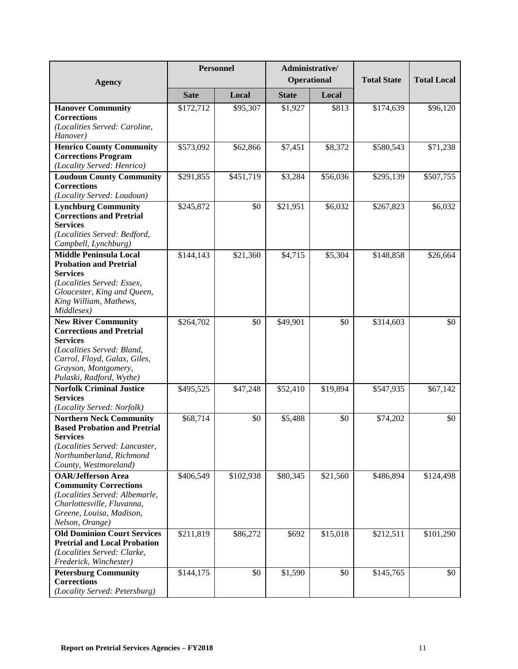| <b>Agency</b>                                                                                                                                                                                      |             | <b>Personnel</b>      | Administrative/<br>Operational |          | <b>Total State</b> |           |
|----------------------------------------------------------------------------------------------------------------------------------------------------------------------------------------------------|-------------|-----------------------|--------------------------------|----------|--------------------|-----------|
|                                                                                                                                                                                                    | <b>Sate</b> | Local                 | <b>State</b>                   | Local    |                    |           |
| <b>Hanover Community</b><br><b>Corrections</b><br>(Localities Served: Caroline,<br>Hanover)                                                                                                        | \$172,712   | \$95,307              | \$1,927                        | \$813    | \$174,639          | \$96,120  |
| <b>Henrico County Community</b><br><b>Corrections Program</b><br>(Locality Served: Henrico)                                                                                                        | \$573,092   | \$62,866              | \$7,451                        | \$8,372  | \$580,543          | \$71,238  |
| <b>Loudoun County Community</b><br><b>Corrections</b><br>(Locality Served: Loudoun)                                                                                                                | \$291,855   | \$451,719             | \$3,284                        | \$56,036 | \$295,139          | \$507,755 |
| <b>Lynchburg Community</b><br><b>Corrections and Pretrial</b><br><b>Services</b><br>(Localities Served: Bedford,<br>Campbell, Lynchburg)                                                           | \$245,872   | \$0                   | \$21,951                       | \$6,032  | \$267,823          | \$6,032   |
| <b>Middle Peninsula Local</b><br><b>Probation and Pretrial</b><br><b>Services</b><br>(Localities Served: Essex,<br>Gloucester, King and Queen,<br>King William, Mathews,<br>Middlesex)             | \$144,143   | \$21,360              | \$4,715                        | \$5,304  | \$148,858          | \$26,664  |
| <b>New River Community</b><br><b>Corrections and Pretrial</b><br><b>Services</b><br>(Localities Served: Bland,<br>Carrol, Floyd, Galax, Giles,<br>Grayson, Montgomery,<br>Pulaski, Radford, Wythe) | \$264,702   | \$0                   | \$49,901                       | \$0      | \$314,603          | \$0       |
| <b>Norfolk Criminal Justice</b><br><b>Services</b><br>(Locality Served: Norfolk)                                                                                                                   | \$495,525   | \$47,248              | \$52,410                       | \$19,894 | \$547,935          | \$67,142  |
| <b>Northern Neck Community</b><br><b>Based Probation and Pretrial</b><br><b>Services</b><br>(Localities Served: Lancaster,<br>Northumberland, Richmond<br>County, Westmoreland)                    | \$68,714    | \$0                   | \$5,488                        | \$0      | \$74,202           | \$0       |
| <b>OAR/Jefferson Area</b><br><b>Community Corrections</b><br>(Localities Served: Albemarle,<br>Charlottesville, Fluvanna,<br>Greene, Louisa, Madison,<br>Nelson, Orange)                           | \$406,549   | $\overline{$102,938}$ | \$80,345                       | \$21,560 | \$486,894          | \$124,498 |
| <b>Old Dominion Court Services</b><br><b>Pretrial and Local Probation</b><br>(Localities Served: Clarke,<br>Frederick, Winchester)                                                                 | \$211,819   | \$86,272              | \$692                          | \$15,018 | \$212,511          | \$101,290 |
| <b>Petersburg Community</b><br><b>Corrections</b><br>(Locality Served: Petersburg)                                                                                                                 | \$144,175   | \$0                   | \$1,590                        | \$0      | \$145,765          | \$0       |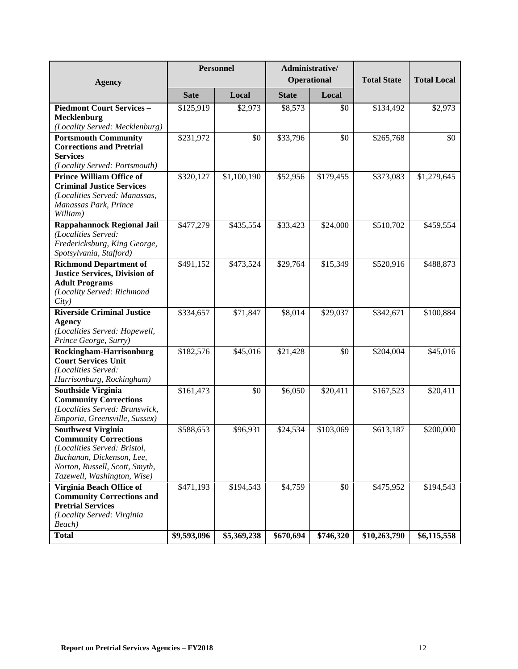| <b>Agency</b>                                                                                                                                                                           | <b>Personnel</b> |             | Operational  | Administrative/ | <b>Total State</b> | <b>Total Local</b> |
|-----------------------------------------------------------------------------------------------------------------------------------------------------------------------------------------|------------------|-------------|--------------|-----------------|--------------------|--------------------|
|                                                                                                                                                                                         | <b>Sate</b>      | Local       | <b>State</b> | Local           |                    |                    |
| <b>Piedmont Court Services -</b><br>Mecklenburg<br>(Locality Served: Mecklenburg)                                                                                                       | \$125,919        | \$2,973     | \$8,573      | \$0             | \$134,492          | \$2,973            |
| <b>Portsmouth Community</b><br><b>Corrections and Pretrial</b><br><b>Services</b><br>(Locality Served: Portsmouth)                                                                      | \$231,972        | \$0         | \$33,796     | \$0             | \$265,768          | \$0                |
| <b>Prince William Office of</b><br><b>Criminal Justice Services</b><br>(Localities Served: Manassas,<br>Manassas Park, Prince<br>William)                                               | \$320,127        | \$1,100,190 | \$52,956     | \$179,455       | \$373,083          | \$1,279,645        |
| <b>Rappahannock Regional Jail</b><br>(Localities Served:<br>Fredericksburg, King George,<br>Spotsylvania, Stafford)                                                                     | \$477,279        | \$435,554   | \$33,423     | \$24,000        | \$510,702          | \$459,554          |
| <b>Richmond Department of</b><br><b>Justice Services, Division of</b><br><b>Adult Programs</b><br>(Locality Served: Richmond<br>City)                                                   | \$491,152        | \$473,524   | \$29,764     | \$15,349        | \$520,916          | \$488,873          |
| <b>Riverside Criminal Justice</b><br><b>Agency</b><br>(Localities Served: Hopewell,<br>Prince George, Surry)                                                                            | \$334,657        | \$71,847    | \$8,014      | \$29,037        | \$342,671          | \$100,884          |
| Rockingham-Harrisonburg<br><b>Court Services Unit</b><br>(Localities Served:<br>Harrisonburg, Rockingham)                                                                               | \$182,576        | \$45,016    | \$21,428     | \$0             | \$204,004          | \$45,016           |
| <b>Southside Virginia</b><br><b>Community Corrections</b><br>(Localities Served: Brunswick,<br>Emporia, Greensville, Sussex)                                                            | \$161,473        | \$0         | \$6,050      | \$20,411        | \$167,523          | \$20,411           |
| <b>Southwest Virginia</b><br><b>Community Corrections</b><br>(Localities Served: Bristol,<br>Buchanan, Dickenson, Lee,<br>Norton, Russell, Scott, Smyth,<br>Tazewell, Washington, Wise) | \$588,653        | \$96,931    | \$24,534     | \$103,069       | \$613,187          | \$200,000          |
| Virginia Beach Office of<br><b>Community Corrections and</b><br><b>Pretrial Services</b><br>(Locality Served: Virginia<br>Beach)                                                        | \$471,193        | \$194,543   | \$4,759      | \$0             | \$475,952          | \$194,543          |
| <b>Total</b>                                                                                                                                                                            | \$9,593,096      | \$5,369,238 | \$670,694    | \$746,320       | \$10,263,790       | \$6,115,558        |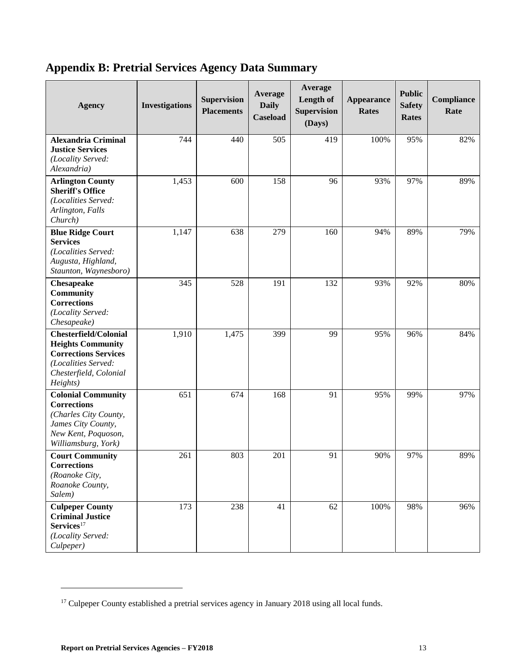### <span id="page-16-0"></span>**Appendix B: Pretrial Services Agency Data Summary**

| <b>Agency</b>                                                                                                                                        | <b>Investigations</b> | <b>Supervision</b><br><b>Placements</b> | Average<br><b>Daily</b><br><b>Caseload</b> | Average<br>Length of<br><b>Supervision</b><br>(Days) | <b>Appearance</b><br><b>Rates</b> | <b>Public</b><br><b>Safety</b><br><b>Rates</b> | Compliance<br>Rate |
|------------------------------------------------------------------------------------------------------------------------------------------------------|-----------------------|-----------------------------------------|--------------------------------------------|------------------------------------------------------|-----------------------------------|------------------------------------------------|--------------------|
| <b>Alexandria Criminal</b><br><b>Justice Services</b><br>(Locality Served:<br>Alexandria)                                                            | 744                   | 440                                     | 505                                        | 419                                                  | 100%                              | 95%                                            | 82%                |
| <b>Arlington County</b><br><b>Sheriff's Office</b><br>(Localities Served:<br>Arlington, Falls<br>Church)                                             | 1,453                 | 600                                     | 158                                        | 96                                                   | 93%                               | 97%                                            | 89%                |
| <b>Blue Ridge Court</b><br><b>Services</b><br>(Localities Served:<br>Augusta, Highland,<br>Staunton, Waynesboro)                                     | 1,147                 | 638                                     | 279                                        | 160                                                  | 94%                               | 89%                                            | 79%                |
| Chesapeake<br><b>Community</b><br><b>Corrections</b><br>(Locality Served:<br>Chesapeake)                                                             | 345                   | 528                                     | 191                                        | 132                                                  | 93%                               | 92%                                            | 80%                |
| <b>Chesterfield/Colonial</b><br><b>Heights Community</b><br><b>Corrections Services</b><br>(Localities Served:<br>Chesterfield, Colonial<br>Heights) | 1,910                 | 1,475                                   | 399                                        | 99                                                   | 95%                               | 96%                                            | 84%                |
| <b>Colonial Community</b><br><b>Corrections</b><br>(Charles City County,<br>James City County,<br>New Kent, Poquoson,<br>Williamsburg, York)         | 651                   | 674                                     | 168                                        | 91                                                   | 95%                               | 99%                                            | 97%                |
| <b>Court Community</b><br><b>Corrections</b><br>(Roanoke City,<br>Roanoke County,<br>Salem)                                                          | 261                   | 803                                     | 201                                        | 91                                                   | 90%                               | 97%                                            | 89%                |
| <b>Culpeper County</b><br><b>Criminal Justice</b><br>$\rm Services^{17}$<br>(Locality Served:<br>Culpeper)                                           | 173                   | 238                                     | 41                                         | 62                                                   | 100%                              | 98%                                            | 96%                |

<sup>&</sup>lt;sup>17</sup> Culpeper County established a pretrial services agency in January 2018 using all local funds.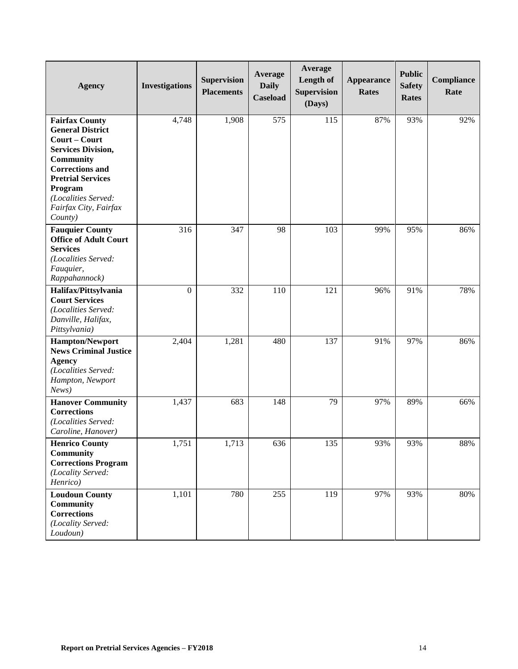| <b>Agency</b>                                                                                                                                                                                                                           | <b>Investigations</b> | <b>Supervision</b><br><b>Placements</b> | Average<br><b>Daily</b><br><b>Caseload</b> | Average<br>Length of<br><b>Supervision</b><br>(Days) | <b>Appearance</b><br><b>Rates</b> | <b>Public</b><br><b>Safety</b><br><b>Rates</b> | Compliance<br>Rate |
|-----------------------------------------------------------------------------------------------------------------------------------------------------------------------------------------------------------------------------------------|-----------------------|-----------------------------------------|--------------------------------------------|------------------------------------------------------|-----------------------------------|------------------------------------------------|--------------------|
| <b>Fairfax County</b><br><b>General District</b><br>Court – Court<br><b>Services Division,</b><br>Community<br><b>Corrections and</b><br><b>Pretrial Services</b><br>Program<br>(Localities Served:<br>Fairfax City, Fairfax<br>County) | 4,748                 | 1,908                                   | 575                                        | 115                                                  | 87%                               | 93%                                            | 92%                |
| <b>Fauquier County</b><br><b>Office of Adult Court</b><br><b>Services</b><br>(Localities Served:<br>Fauquier,<br>Rappahannock)                                                                                                          | 316                   | 347                                     | 98                                         | 103                                                  | 99%                               | 95%                                            | 86%                |
| Halifax/Pittsylvania<br><b>Court Services</b><br>(Localities Served:<br>Danville, Halifax,<br>Pittsylvania)                                                                                                                             | $\boldsymbol{0}$      | 332                                     | 110                                        | 121                                                  | 96%                               | 91%                                            | 78%                |
| <b>Hampton/Newport</b><br><b>News Criminal Justice</b><br><b>Agency</b><br>(Localities Served:<br>Hampton, Newport<br>News)                                                                                                             | 2,404                 | 1,281                                   | 480                                        | 137                                                  | 91%                               | 97%                                            | 86%                |
| <b>Hanover Community</b><br><b>Corrections</b><br>(Localities Served:<br>Caroline, Hanover)                                                                                                                                             | 1,437                 | 683                                     | 148                                        | 79                                                   | 97%                               | 89%                                            | 66%                |
| <b>Henrico County</b><br>Community<br><b>Corrections Program</b><br>(Locality Served:<br>Henrico)                                                                                                                                       | 1,751                 | 1,713                                   | 636                                        | 135                                                  | 93%                               | 93%                                            | 88%                |
| <b>Loudoun County</b><br>Community<br><b>Corrections</b><br>(Locality Served:<br>Loudoun)                                                                                                                                               | 1,101                 | 780                                     | 255                                        | 119                                                  | 97%                               | 93%                                            | 80%                |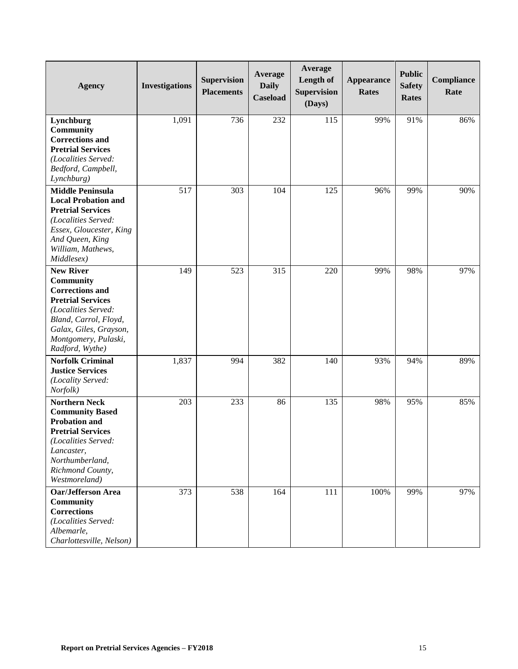| <b>Agency</b>              | <b>Investigations</b> | <b>Supervision</b><br><b>Placements</b> | Average<br><b>Daily</b><br><b>Caseload</b> | Average<br>Length of<br><b>Supervision</b><br>(Days) | <b>Appearance</b><br><b>Rates</b> | <b>Public</b><br><b>Safety</b><br><b>Rates</b> | Compliance<br>Rate |
|----------------------------|-----------------------|-----------------------------------------|--------------------------------------------|------------------------------------------------------|-----------------------------------|------------------------------------------------|--------------------|
| Lynchburg                  | 1,091                 | 736                                     | 232                                        | 115                                                  | 99%                               | 91%                                            | 86%                |
| Community                  |                       |                                         |                                            |                                                      |                                   |                                                |                    |
| <b>Corrections and</b>     |                       |                                         |                                            |                                                      |                                   |                                                |                    |
| <b>Pretrial Services</b>   |                       |                                         |                                            |                                                      |                                   |                                                |                    |
| (Localities Served:        |                       |                                         |                                            |                                                      |                                   |                                                |                    |
| Bedford, Campbell,         |                       |                                         |                                            |                                                      |                                   |                                                |                    |
| Lynchburg)                 |                       |                                         |                                            |                                                      |                                   |                                                |                    |
| <b>Middle Peninsula</b>    | 517                   | 303                                     | 104                                        | 125                                                  | 96%                               | 99%                                            | 90%                |
| <b>Local Probation and</b> |                       |                                         |                                            |                                                      |                                   |                                                |                    |
| <b>Pretrial Services</b>   |                       |                                         |                                            |                                                      |                                   |                                                |                    |
| (Localities Served:        |                       |                                         |                                            |                                                      |                                   |                                                |                    |
| Essex, Gloucester, King    |                       |                                         |                                            |                                                      |                                   |                                                |                    |
| And Queen, King            |                       |                                         |                                            |                                                      |                                   |                                                |                    |
| William, Mathews,          |                       |                                         |                                            |                                                      |                                   |                                                |                    |
| Middlesex)                 |                       |                                         |                                            |                                                      |                                   |                                                |                    |
| <b>New River</b>           | 149                   | 523                                     | 315                                        | 220                                                  | 99%                               | 98%                                            | 97%                |
| Community                  |                       |                                         |                                            |                                                      |                                   |                                                |                    |
| <b>Corrections and</b>     |                       |                                         |                                            |                                                      |                                   |                                                |                    |
| <b>Pretrial Services</b>   |                       |                                         |                                            |                                                      |                                   |                                                |                    |
| (Localities Served:        |                       |                                         |                                            |                                                      |                                   |                                                |                    |
| Bland, Carrol, Floyd,      |                       |                                         |                                            |                                                      |                                   |                                                |                    |
| Galax, Giles, Grayson,     |                       |                                         |                                            |                                                      |                                   |                                                |                    |
| Montgomery, Pulaski,       |                       |                                         |                                            |                                                      |                                   |                                                |                    |
| Radford, Wythe)            |                       |                                         |                                            |                                                      |                                   |                                                |                    |
| <b>Norfolk Criminal</b>    | 1,837                 | 994                                     | 382                                        | 140                                                  | 93%                               | 94%                                            | 89%                |
| <b>Justice Services</b>    |                       |                                         |                                            |                                                      |                                   |                                                |                    |
| (Locality Served:          |                       |                                         |                                            |                                                      |                                   |                                                |                    |
| Norfolk)                   |                       |                                         |                                            |                                                      |                                   |                                                |                    |
| <b>Northern Neck</b>       | 203                   | 233                                     | 86                                         | 135                                                  | 98%                               | 95%                                            | 85%                |
| <b>Community Based</b>     |                       |                                         |                                            |                                                      |                                   |                                                |                    |
| <b>Probation and</b>       |                       |                                         |                                            |                                                      |                                   |                                                |                    |
| <b>Pretrial Services</b>   |                       |                                         |                                            |                                                      |                                   |                                                |                    |
| (Localities Served:        |                       |                                         |                                            |                                                      |                                   |                                                |                    |
| Lancaster,                 |                       |                                         |                                            |                                                      |                                   |                                                |                    |
| Northumberland,            |                       |                                         |                                            |                                                      |                                   |                                                |                    |
| Richmond County,           |                       |                                         |                                            |                                                      |                                   |                                                |                    |
| Westmoreland)              |                       |                                         |                                            |                                                      |                                   |                                                |                    |
| <b>Oar/Jefferson Area</b>  | 373                   | 538                                     | 164                                        | 111                                                  | 100%                              | 99%                                            | 97%                |
| Community                  |                       |                                         |                                            |                                                      |                                   |                                                |                    |
| <b>Corrections</b>         |                       |                                         |                                            |                                                      |                                   |                                                |                    |
| (Localities Served:        |                       |                                         |                                            |                                                      |                                   |                                                |                    |
| Albemarle,                 |                       |                                         |                                            |                                                      |                                   |                                                |                    |
| Charlottesville, Nelson)   |                       |                                         |                                            |                                                      |                                   |                                                |                    |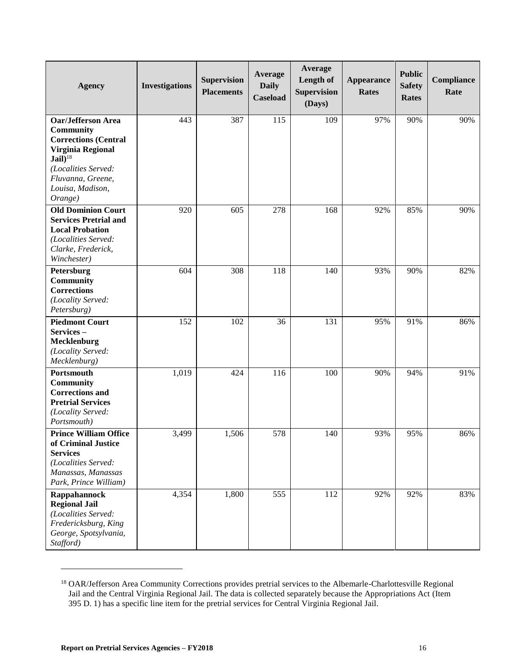| <b>Agency</b>                                       | <b>Investigations</b> | <b>Supervision</b><br><b>Placements</b> | Average<br><b>Daily</b><br>Caseload | Average<br>Length of<br><b>Supervision</b><br>(Days) | <b>Appearance</b><br><b>Rates</b> | <b>Public</b><br><b>Safety</b><br><b>Rates</b> | Compliance<br>Rate |
|-----------------------------------------------------|-----------------------|-----------------------------------------|-------------------------------------|------------------------------------------------------|-----------------------------------|------------------------------------------------|--------------------|
| <b>Oar/Jefferson Area</b>                           | 443                   | 387                                     | 115                                 | 109                                                  | 97%                               | 90%                                            | 90%                |
| Community                                           |                       |                                         |                                     |                                                      |                                   |                                                |                    |
| <b>Corrections (Central</b>                         |                       |                                         |                                     |                                                      |                                   |                                                |                    |
| Virginia Regional                                   |                       |                                         |                                     |                                                      |                                   |                                                |                    |
| $Jail$ ) <sup>18</sup><br>(Localities Served:       |                       |                                         |                                     |                                                      |                                   |                                                |                    |
| Fluvanna, Greene,                                   |                       |                                         |                                     |                                                      |                                   |                                                |                    |
| Louisa, Madison,                                    |                       |                                         |                                     |                                                      |                                   |                                                |                    |
| Orange)                                             |                       |                                         |                                     |                                                      |                                   |                                                |                    |
| <b>Old Dominion Court</b>                           | 920                   | 605                                     | 278                                 | 168                                                  | 92%                               | 85%                                            | 90%                |
| <b>Services Pretrial and</b>                        |                       |                                         |                                     |                                                      |                                   |                                                |                    |
| <b>Local Probation</b>                              |                       |                                         |                                     |                                                      |                                   |                                                |                    |
| (Localities Served:                                 |                       |                                         |                                     |                                                      |                                   |                                                |                    |
| Clarke, Frederick,                                  |                       |                                         |                                     |                                                      |                                   |                                                |                    |
| Winchester)                                         |                       |                                         |                                     |                                                      |                                   |                                                |                    |
| Petersburg                                          | 604                   | 308                                     | 118                                 | 140                                                  | 93%                               | 90%                                            | 82%                |
| <b>Community</b><br><b>Corrections</b>              |                       |                                         |                                     |                                                      |                                   |                                                |                    |
| (Locality Served:                                   |                       |                                         |                                     |                                                      |                                   |                                                |                    |
| Petersburg)                                         |                       |                                         |                                     |                                                      |                                   |                                                |                    |
| <b>Piedmont Court</b>                               | 152                   | 102                                     | 36                                  | 131                                                  | 95%                               | 91%                                            | 86%                |
| Services-                                           |                       |                                         |                                     |                                                      |                                   |                                                |                    |
| Mecklenburg                                         |                       |                                         |                                     |                                                      |                                   |                                                |                    |
| (Locality Served:                                   |                       |                                         |                                     |                                                      |                                   |                                                |                    |
| Mecklenburg)                                        |                       |                                         |                                     |                                                      |                                   |                                                |                    |
| Portsmouth                                          | 1,019                 | 424                                     | 116                                 | 100                                                  | 90%                               | 94%                                            | 91%                |
| Community                                           |                       |                                         |                                     |                                                      |                                   |                                                |                    |
| <b>Corrections and</b>                              |                       |                                         |                                     |                                                      |                                   |                                                |                    |
| <b>Pretrial Services</b>                            |                       |                                         |                                     |                                                      |                                   |                                                |                    |
| (Locality Served:<br>Portsmouth)                    |                       |                                         |                                     |                                                      |                                   |                                                |                    |
|                                                     |                       |                                         |                                     |                                                      |                                   |                                                |                    |
| <b>Prince William Office</b><br>of Criminal Justice | 3,499                 | 1,506                                   | 578                                 | 140                                                  | 93%                               | 95%                                            | 86%                |
| <b>Services</b>                                     |                       |                                         |                                     |                                                      |                                   |                                                |                    |
| (Localities Served:                                 |                       |                                         |                                     |                                                      |                                   |                                                |                    |
| Manassas, Manassas                                  |                       |                                         |                                     |                                                      |                                   |                                                |                    |
| Park, Prince William)                               |                       |                                         |                                     |                                                      |                                   |                                                |                    |
| Rappahannock                                        | 4,354                 | 1,800                                   | 555                                 | 112                                                  | 92%                               | 92%                                            | 83%                |
| <b>Regional Jail</b>                                |                       |                                         |                                     |                                                      |                                   |                                                |                    |
| (Localities Served:                                 |                       |                                         |                                     |                                                      |                                   |                                                |                    |
| Fredericksburg, King                                |                       |                                         |                                     |                                                      |                                   |                                                |                    |
| George, Spotsylvania,                               |                       |                                         |                                     |                                                      |                                   |                                                |                    |
| Stafford)                                           |                       |                                         |                                     |                                                      |                                   |                                                |                    |

<sup>&</sup>lt;sup>18</sup> OAR/Jefferson Area Community Corrections provides pretrial services to the Albemarle-Charlottesville Regional Jail and the Central Virginia Regional Jail. The data is collected separately because the Appropriations Act (Item 395 D. 1) has a specific line item for the pretrial services for Central Virginia Regional Jail.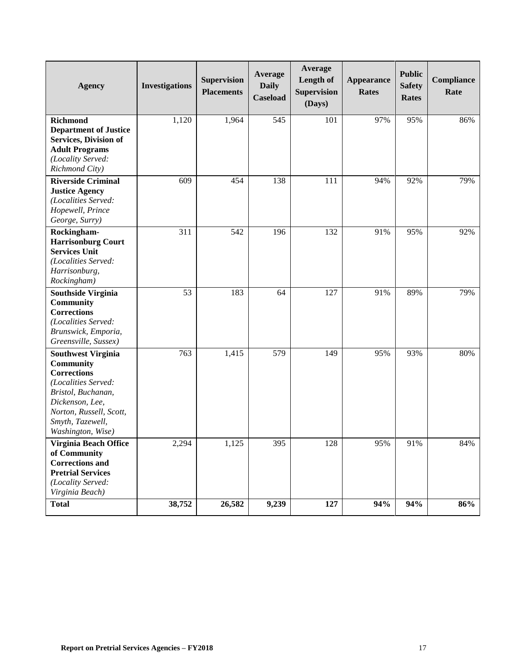| <b>Agency</b>                                                                                                                                                                                    | <b>Investigations</b> | <b>Supervision</b><br><b>Placements</b> | Average<br><b>Daily</b><br><b>Caseload</b> | Average<br>Length of<br><b>Supervision</b><br>(Days) | <b>Appearance</b><br><b>Rates</b> | <b>Public</b><br><b>Safety</b><br><b>Rates</b> | Compliance<br>Rate |
|--------------------------------------------------------------------------------------------------------------------------------------------------------------------------------------------------|-----------------------|-----------------------------------------|--------------------------------------------|------------------------------------------------------|-----------------------------------|------------------------------------------------|--------------------|
| <b>Richmond</b><br><b>Department of Justice</b><br><b>Services, Division of</b><br><b>Adult Programs</b><br>(Locality Served:<br>Richmond City)                                                  | 1,120                 | 1,964                                   | 545                                        | 101                                                  | 97%                               | 95%                                            | 86%                |
| <b>Riverside Criminal</b><br><b>Justice Agency</b><br>(Localities Served:<br>Hopewell, Prince<br>George, Surry)                                                                                  | 609                   | 454                                     | 138                                        | 111                                                  | 94%                               | 92%                                            | 79%                |
| Rockingham-<br><b>Harrisonburg Court</b><br><b>Services Unit</b><br>(Localities Served:<br>Harrisonburg,<br>Rockingham)                                                                          | 311                   | 542                                     | 196                                        | 132                                                  | 91%                               | 95%                                            | 92%                |
| <b>Southside Virginia</b><br>Community<br><b>Corrections</b><br>(Localities Served:<br>Brunswick, Emporia,<br>Greensville, Sussex)                                                               | 53                    | 183                                     | 64                                         | 127                                                  | 91%                               | 89%                                            | 79%                |
| <b>Southwest Virginia</b><br>Community<br><b>Corrections</b><br>(Localities Served:<br>Bristol, Buchanan,<br>Dickenson, Lee,<br>Norton, Russell, Scott,<br>Smyth, Tazewell,<br>Washington, Wise) | 763                   | 1,415                                   | 579                                        | 149                                                  | 95%                               | 93%                                            | 80%                |
| Virginia Beach Office<br>of Community<br><b>Corrections and</b><br><b>Pretrial Services</b><br>(Locality Served:<br>Virginia Beach)                                                              | 2,294                 | 1,125                                   | 395                                        | 128                                                  | 95%                               | 91%                                            | 84%                |
| <b>Total</b>                                                                                                                                                                                     | 38,752                | 26,582                                  | 9,239                                      | 127                                                  | 94%                               | 94%                                            | 86%                |